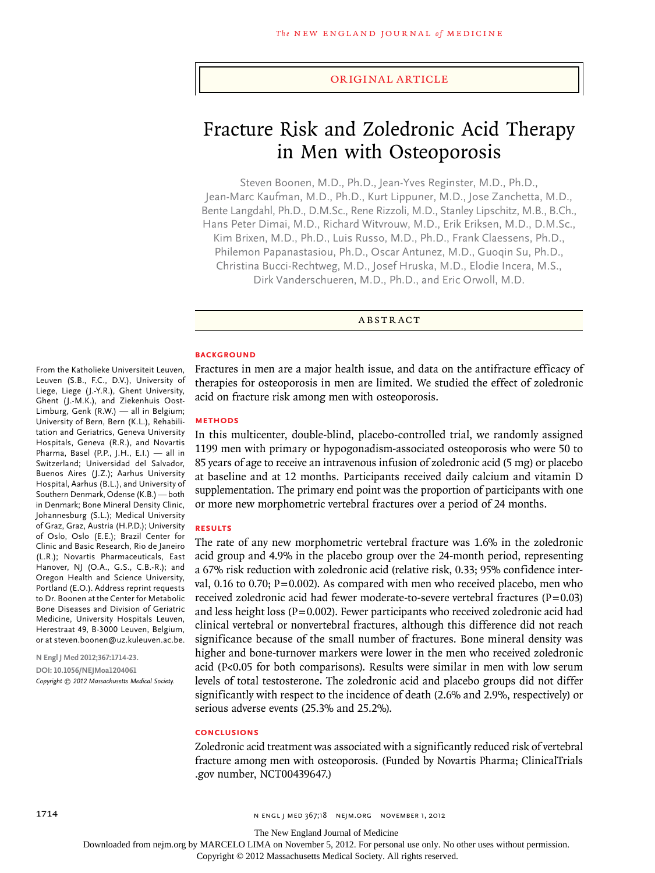#### original article

# Fracture Risk and Zoledronic Acid Therapy in Men with Osteoporosis

Steven Boonen, M.D., Ph.D., Jean-Yves Reginster, M.D., Ph.D., Jean-Marc Kaufman, M.D., Ph.D., Kurt Lippuner, M.D., Jose Zanchetta, M.D., Bente Langdahl, Ph.D., D.M.Sc., Rene Rizzoli, M.D., Stanley Lipschitz, M.B., B.Ch., Hans Peter Dimai, M.D., Richard Witvrouw, M.D., Erik Eriksen, M.D., D.M.Sc., Kim Brixen, M.D., Ph.D., Luis Russo, M.D., Ph.D., Frank Claessens, Ph.D., Philemon Papanastasiou, Ph.D., Oscar Antunez, M.D., Guoqin Su, Ph.D., Christina Bucci-Rechtweg, M.D., Josef Hruska, M.D., Elodie Incera, M.S., Dirk Vanderschueren, M.D., Ph.D., and Eric Orwoll, M.D.

### **ABSTRACT**

#### **BACKGROUND**

Fractures in men are a major health issue, and data on the antifracture efficacy of therapies for osteoporosis in men are limited. We studied the effect of zoledronic acid on fracture risk among men with osteoporosis.

### **Methods**

In this multicenter, double-blind, placebo-controlled trial, we randomly assigned 1199 men with primary or hypogonadism-associated osteoporosis who were 50 to 85 years of age to receive an intravenous infusion of zoledronic acid (5 mg) or placebo at baseline and at 12 months. Participants received daily calcium and vitamin D supplementation. The primary end point was the proportion of participants with one or more new morphometric vertebral fractures over a period of 24 months.

### **Results**

The rate of any new morphometric vertebral fracture was 1.6% in the zoledronic acid group and 4.9% in the placebo group over the 24-month period, representing a 67% risk reduction with zoledronic acid (relative risk, 0.33; 95% confidence interval,  $0.16$  to  $0.70$ ;  $P=0.002$ ). As compared with men who received placebo, men who received zoledronic acid had fewer moderate-to-severe vertebral fractures ( $P=0.03$ ) and less height loss ( $P=0.002$ ). Fewer participants who received zoledronic acid had clinical vertebral or nonvertebral fractures, although this difference did not reach significance because of the small number of fractures. Bone mineral density was higher and bone-turnover markers were lower in the men who received zoledronic acid (P<0.05 for both comparisons). Results were similar in men with low serum levels of total testosterone. The zoledronic acid and placebo groups did not differ significantly with respect to the incidence of death (2.6% and 2.9%, respectively) or serious adverse events (25.3% and 25.2%).

## **Conclusions**

Zoledronic acid treatment was associated with a significantly reduced risk of vertebral fracture among men with osteoporosis. (Funded by Novartis Pharma; ClinicalTrials .gov number, NCT00439647.)

Liege, Liege (J.-Y.R.), Ghent University, Ghent (J.-M.K.), and Ziekenhuis Oost-Limburg, Genk (R.W.) — all in Belgium; University of Bern, Bern (K.L.), Rehabilitation and Geriatrics, Geneva University Hospitals, Geneva (R.R.), and Novartis Pharma, Basel (P.P., J.H., E.I.) — all in Switzerland; Universidad del Salvador, Buenos Aires (J.Z.); Aarhus University Hospital, Aarhus (B.L.), and University of Southern Denmark, Odense (K.B.) — both in Denmark; Bone Mineral Density Clinic, Johannesburg (S.L.); Medical University of Graz, Graz, Austria (H.P.D.); University of Oslo, Oslo (E.E.); Brazil Center for Clinic and Basic Research, Rio de Janeiro (L.R.); Novartis Pharmaceuticals, East Hanover, NJ (O.A., G.S., C.B.-R.); and Oregon Health and Science University, Portland (E.O.). Address reprint requests to Dr. Boonen at the Center for Metabolic Bone Diseases and Division of Geriatric Medicine, University Hospitals Leuven, Herestraat 49, B-3000 Leuven, Belgium, or at steven.boonen@uz.kuleuven.ac.be.

From the Katholieke Universiteit Leuven, Leuven (S.B., F.C., D.V.), University of

**N Engl J Med 2012;367:1714-23. DOI: 10.1056/NEJMoa1204061** *Copyright © 2012 Massachusetts Medical Society.*

The New England Journal of Medicine

Downloaded from nejm.org by MARCELO LIMA on November 5, 2012. For personal use only. No other uses without permission.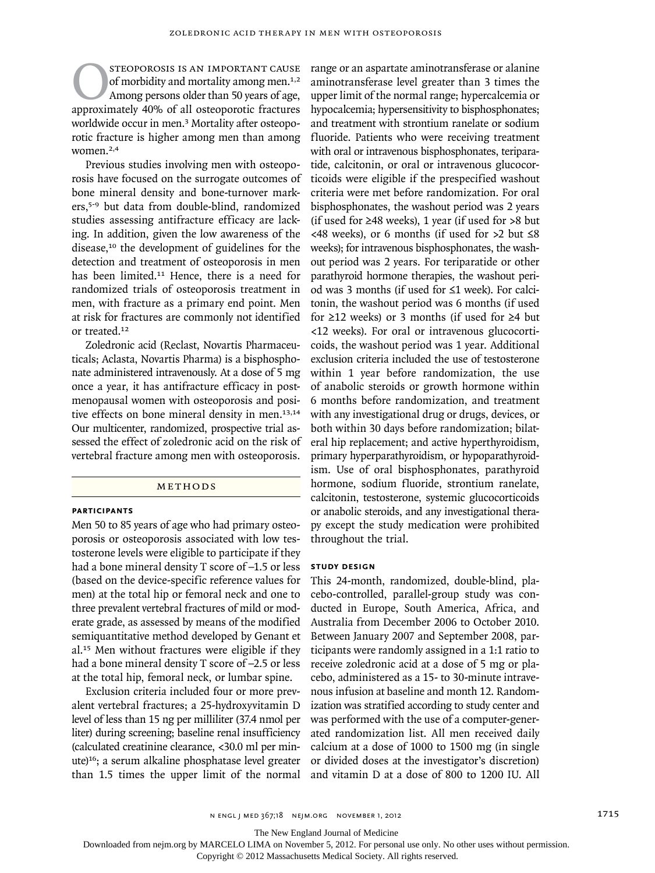STEOPOROSIS IS AN IMPORTANT CAUSE of morbidity and mortality among men.<sup>1,2</sup> Among persons older than 50 years of age, approximately 40% of all osteoporotic fractures of morbidity and mortality among men.<sup>1,2</sup> Among persons older than 50 years of age, worldwide occur in men.3 Mortality after osteoporotic fracture is higher among men than among women.2,4

Previous studies involving men with osteoporosis have focused on the surrogate outcomes of bone mineral density and bone-turnover markers,5-9 but data from double-blind, randomized studies assessing antifracture efficacy are lacking. In addition, given the low awareness of the disease,<sup>10</sup> the development of guidelines for the detection and treatment of osteoporosis in men has been limited.<sup>11</sup> Hence, there is a need for randomized trials of osteoporosis treatment in men, with fracture as a primary end point. Men at risk for fractures are commonly not identified or treated.<sup>12</sup>

Zoledronic acid (Reclast, Novartis Pharmaceuticals; Aclasta, Novartis Pharma) is a bisphosphonate administered intravenously. At a dose of 5 mg once a year, it has antifracture efficacy in postmenopausal women with osteoporosis and positive effects on bone mineral density in men.<sup>13,14</sup> Our multicenter, randomized, prospective trial assessed the effect of zoledronic acid on the risk of vertebral fracture among men with osteoporosis.

## METHODS

## **Participants**

Men 50 to 85 years of age who had primary osteoporosis or osteoporosis associated with low testosterone levels were eligible to participate if they had a bone mineral density T score of -1.5 or less (based on the device-specific reference values for men) at the total hip or femoral neck and one to three prevalent vertebral fractures of mild or moderate grade, as assessed by means of the modified semiquantitative method developed by Genant et al.15 Men without fractures were eligible if they had a bone mineral density T score of -2.5 or less at the total hip, femoral neck, or lumbar spine.

Exclusion criteria included four or more prevalent vertebral fractures; a 25-hydroxyvitamin D level of less than 15 ng per milliliter (37.4 nmol per liter) during screening; baseline renal insufficiency (calculated creatinine clearance, <30.0 ml per minute)16; a serum alkaline phosphatase level greater than 1.5 times the upper limit of the normal range or an aspartate aminotransferase or alanine aminotransferase level greater than 3 times the upper limit of the normal range; hypercalcemia or hypocalcemia; hypersensitivity to bisphosphonates; and treatment with strontium ranelate or sodium fluoride. Patients who were receiving treatment with oral or intravenous bisphosphonates, teriparatide, calcitonin, or oral or intravenous glucocorticoids were eligible if the prespecified washout criteria were met before randomization. For oral bisphosphonates, the washout period was 2 years (if used for  $≥48$  weeks), 1 year (if used for  $>8$  but <48 weeks), or 6 months (if used for >2 but ≤8 weeks); for intravenous bisphosphonates, the washout period was 2 years. For teriparatide or other parathyroid hormone therapies, the washout period was 3 months (if used for ≤1 week). For calcitonin, the washout period was 6 months (if used for ≥12 weeks) or 3 months (if used for ≥4 but <12 weeks). For oral or intravenous glucocorticoids, the washout period was 1 year. Additional exclusion criteria included the use of testosterone within 1 year before randomization, the use of anabolic steroids or growth hormone within 6 months before randomization, and treatment with any investigational drug or drugs, devices, or both within 30 days before randomization; bilateral hip replacement; and active hyperthyroidism, primary hyperparathyroidism, or hypoparathyroidism. Use of oral bisphosphonates, parathyroid hormone, sodium fluoride, strontium ranelate, calcitonin, testosterone, systemic glucocorticoids or anabolic steroids, and any investigational therapy except the study medication were prohibited throughout the trial.

# **Study Design**

This 24-month, randomized, double-blind, placebo-controlled, parallel-group study was conducted in Europe, South America, Africa, and Australia from December 2006 to October 2010. Between January 2007 and September 2008, participants were randomly assigned in a 1:1 ratio to receive zoledronic acid at a dose of 5 mg or placebo, administered as a 15- to 30-minute intravenous infusion at baseline and month 12. Randomization was stratified according to study center and was performed with the use of a computer-generated randomization list. All men received daily calcium at a dose of 1000 to 1500 mg (in single or divided doses at the investigator's discretion) and vitamin D at a dose of 800 to 1200 IU. All

The New England Journal of Medicine

Downloaded from nejm.org by MARCELO LIMA on November 5, 2012. For personal use only. No other uses without permission.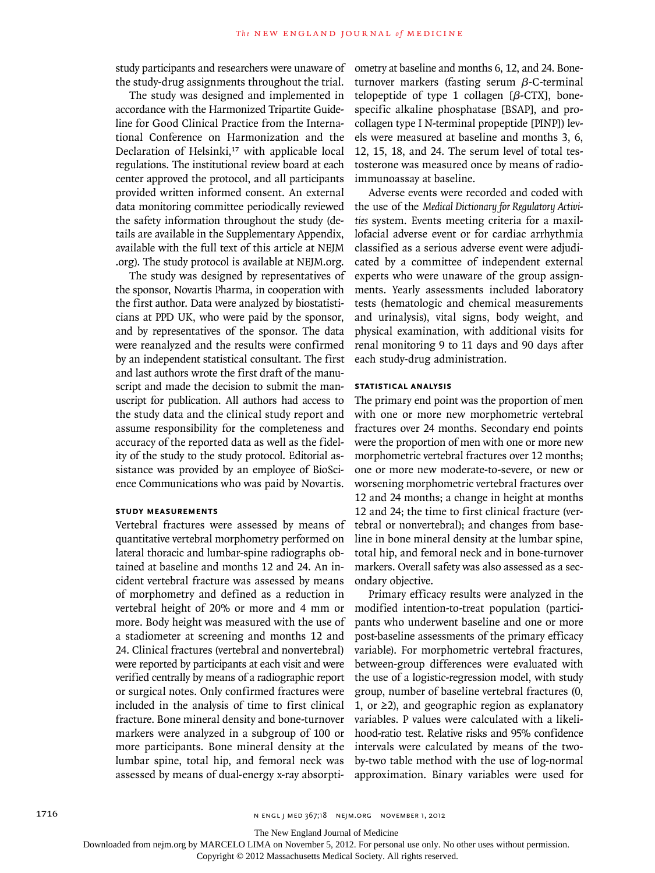study participants and researchers were unaware of the study-drug assignments throughout the trial.

The study was designed and implemented in accordance with the Harmonized Tripartite Guideline for Good Clinical Practice from the International Conference on Harmonization and the Declaration of Helsinki,<sup>17</sup> with applicable local regulations. The institutional review board at each center approved the protocol, and all participants provided written informed consent. An external data monitoring committee periodically reviewed the safety information throughout the study (details are available in the Supplementary Appendix, available with the full text of this article at NEJM .org). The study protocol is available at NEJM.org.

The study was designed by representatives of the sponsor, Novartis Pharma, in cooperation with the first author. Data were analyzed by biostatisticians at PPD UK, who were paid by the sponsor, and by representatives of the sponsor. The data were reanalyzed and the results were confirmed by an independent statistical consultant. The first and last authors wrote the first draft of the manuscript and made the decision to submit the manuscript for publication. All authors had access to the study data and the clinical study report and assume responsibility for the completeness and accuracy of the reported data as well as the fidelity of the study to the study protocol. Editorial assistance was provided by an employee of BioScience Communications who was paid by Novartis.

# **Study Measurements**

Vertebral fractures were assessed by means of quantitative vertebral morphometry performed on lateral thoracic and lumbar-spine radiographs obtained at baseline and months 12 and 24. An incident vertebral fracture was assessed by means of morphometry and defined as a reduction in vertebral height of 20% or more and 4 mm or more. Body height was measured with the use of a stadiometer at screening and months 12 and 24. Clinical fractures (vertebral and nonvertebral) were reported by participants at each visit and were verified centrally by means of a radiographic report or surgical notes. Only confirmed fractures were included in the analysis of time to first clinical fracture. Bone mineral density and bone-turnover markers were analyzed in a subgroup of 100 or more participants. Bone mineral density at the lumbar spine, total hip, and femoral neck was assessed by means of dual-energy x-ray absorpti-

ometry at baseline and months 6, 12, and 24. Boneturnover markers (fasting serum β-C-terminal telopeptide of type 1 collagen  $[\beta$ -CTX], bonespecific alkaline phosphatase [BSAP], and procollagen type I N-terminal propeptide [PINP]) levels were measured at baseline and months 3, 6, 12, 15, 18, and 24. The serum level of total testosterone was measured once by means of radioimmunoassay at baseline.

Adverse events were recorded and coded with the use of the *Medical Dictionary for Regulatory Activities* system. Events meeting criteria for a maxillofacial adverse event or for cardiac arrhythmia classified as a serious adverse event were adjudicated by a committee of independent external experts who were unaware of the group assignments. Yearly assessments included laboratory tests (hematologic and chemical measurements and urinalysis), vital signs, body weight, and physical examination, with additional visits for renal monitoring 9 to 11 days and 90 days after each study-drug administration.

## **Statistical Analysis**

The primary end point was the proportion of men with one or more new morphometric vertebral fractures over 24 months. Secondary end points were the proportion of men with one or more new morphometric vertebral fractures over 12 months; one or more new moderate-to-severe, or new or worsening morphometric vertebral fractures over 12 and 24 months; a change in height at months 12 and 24; the time to first clinical fracture (vertebral or nonvertebral); and changes from baseline in bone mineral density at the lumbar spine, total hip, and femoral neck and in bone-turnover markers. Overall safety was also assessed as a secondary objective.

Primary efficacy results were analyzed in the modified intention-to-treat population (participants who underwent baseline and one or more post-baseline assessments of the primary efficacy variable). For morphometric vertebral fractures, between-group differences were evaluated with the use of a logistic-regression model, with study group, number of baseline vertebral fractures (0, 1, or ≥2), and geographic region as explanatory variables. P values were calculated with a likelihood-ratio test. Relative risks and 95% confidence intervals were calculated by means of the twoby-two table method with the use of log-normal approximation. Binary variables were used for

The New England Journal of Medicine

Downloaded from nejm.org by MARCELO LIMA on November 5, 2012. For personal use only. No other uses without permission.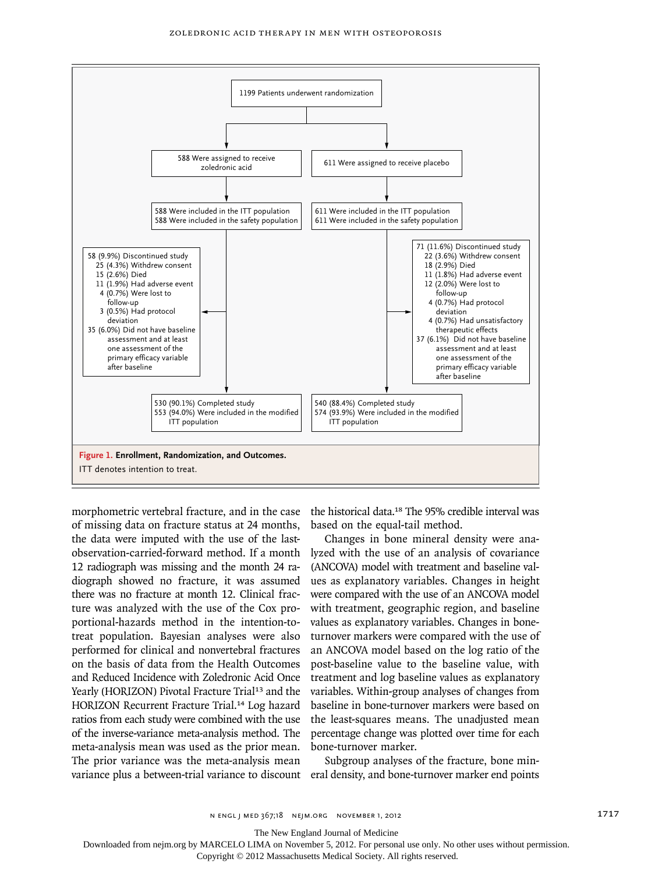

morphometric vertebral fracture, and in the case of missing data on fracture status at 24 months, the data were imputed with the use of the lastobservation-carried-forward method. If a month 12 radiograph was missing and the month 24 radiograph showed no fracture, it was assumed there was no fracture at month 12. Clinical fracture was analyzed with the use of the Cox proportional-hazards method in the intention-totreat population. Bayesian analyses were also performed for clinical and nonvertebral fractures on the basis of data from the Health Outcomes and Reduced Incidence with Zoledronic Acid Once Yearly (HORIZON) Pivotal Fracture Trial<sup>13</sup> and the HORIZON Recurrent Fracture Trial.14 Log hazard ratios from each study were combined with the use of the inverse-variance meta-analysis method. The meta-analysis mean was used as the prior mean. The prior variance was the meta-analysis mean

the historical data.18 The 95% credible interval was based on the equal-tail method.

Changes in bone mineral density were analyzed with the use of an analysis of covariance (ANCOVA) model with treatment and baseline values as explanatory variables. Changes in height were compared with the use of an ANCOVA model with treatment, geographic region, and baseline values as explanatory variables. Changes in boneturnover markers were compared with the use of an ANCOVA model based on the log ratio of the post-baseline value to the baseline value, with treatment and log baseline values as explanatory variables. Within-group analyses of changes from baseline in bone-turnover markers were based on the least-squares means. The unadjusted mean percentage change was plotted over time for each bone-turnover marker.

variance plus a between-trial variance to discount eral density, and bone-turnover marker end points Subgroup analyses of the fracture, bone min-

The New England Journal of Medicine

Downloaded from nejm.org by MARCELO LIMA on November 5, 2012. For personal use only. No other uses without permission.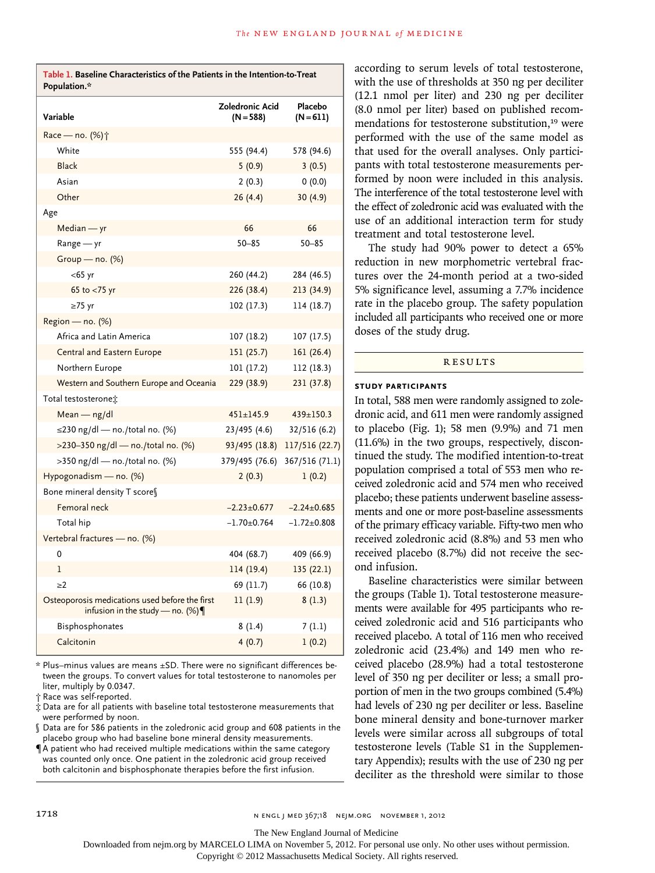| Table 1. Baseline Characteristics of the Patients in the Intention-to-Treat<br>Population.* |                                |                      |  |  |
|---------------------------------------------------------------------------------------------|--------------------------------|----------------------|--|--|
| Variable                                                                                    | Zoledronic Acid<br>$(N = 588)$ | Placebo<br>$(N=611)$ |  |  |
| Race — no. $(\%)\uparrow$                                                                   |                                |                      |  |  |
| White                                                                                       | 555 (94.4)                     | 578 (94.6)           |  |  |
| <b>Black</b>                                                                                | 5(0.9)                         | 3(0.5)               |  |  |
| Asian                                                                                       | 2(0.3)                         | 0(0.0)               |  |  |
| Other                                                                                       | 26 (4.4)                       | 30(4.9)              |  |  |
| Age                                                                                         |                                |                      |  |  |
| Median — yr                                                                                 | 66                             | 66                   |  |  |
| Range — yr                                                                                  | $50 - 85$                      | $50 - 85$            |  |  |
| Group - no. (%)                                                                             |                                |                      |  |  |
| $<$ 65 yr                                                                                   | 260 (44.2)                     | 284 (46.5)           |  |  |
| 65 to $<$ 75 yr                                                                             | 226 (38.4)                     | 213 (34.9)           |  |  |
| $\geq$ 75 yr                                                                                | 102 (17.3)                     | 114 (18.7)           |  |  |
| Region - no. (%)                                                                            |                                |                      |  |  |
| Africa and Latin America                                                                    | 107 (18.2)                     | 107 (17.5)           |  |  |
| <b>Central and Eastern Europe</b>                                                           | 151 (25.7)                     | 161 (26.4)           |  |  |
| Northern Europe                                                                             | 101 (17.2)                     | 112 (18.3)           |  |  |
| Western and Southern Europe and Oceania                                                     | 229 (38.9)                     | 231 (37.8)           |  |  |
| Total testosterone;                                                                         |                                |                      |  |  |
| $Mean - ng/dl$                                                                              | $451 \pm 145.9$                | $439 \pm 150.3$      |  |  |
| $\leq$ 230 ng/dl — no./total no. (%)                                                        | 23/495 (4.6)                   | 32/516 (6.2)         |  |  |
| >230-350 ng/dl - no./total no. (%)                                                          | 93/495 (18.8)                  | 117/516 (22.7)       |  |  |
| $>350$ ng/dl — no./total no. (%)                                                            | 379/495 (76.6)                 | 367/516 (71.1)       |  |  |
| Hypogonadism - no. (%)                                                                      | 2(0.3)                         | 1(0.2)               |  |  |
| Bone mineral density T scores                                                               |                                |                      |  |  |
| Femoral neck                                                                                | $-2.23 \pm 0.677$              | $-2.24 \pm 0.685$    |  |  |
| Total hip                                                                                   | $-1.70+0.764$                  | $-1.72+0.808$        |  |  |
| Vertebral fractures — no. (%)                                                               |                                |                      |  |  |
| 0                                                                                           | 404 (68.7)                     | 409 (66.9)           |  |  |
| 1                                                                                           | 114 (19.4)                     | 135(22.1)            |  |  |
| $\geq$ 2                                                                                    | 69 (11.7)                      | 66 (10.8)            |  |  |
| Osteoporosis medications used before the first<br>infusion in the study — no. $(\%) \P$     | 11(1.9)                        | 8(1.3)               |  |  |
| Bisphosphonates                                                                             | 8(1.4)                         | 7(1.1)               |  |  |
| Calcitonin                                                                                  | 4(0.7)                         | 1(0.2)               |  |  |

\* Plus–minus values are means ±SD. There were no significant differences between the groups. To convert values for total testosterone to nanomoles per liter, multiply by 0.0347.

† Race was self-reported.

‡ Data are for all patients with baseline total testosterone measurements that were performed by noon.

§ Data are for 586 patients in the zoledronic acid group and 608 patients in the placebo group who had baseline bone mineral density measurements.

¶A patient who had received multiple medications within the same category was counted only once. One patient in the zoledronic acid group received both calcitonin and bisphosphonate therapies before the first infusion.

according to serum levels of total testosterone, with the use of thresholds at 350 ng per deciliter (12.1 nmol per liter) and 230 ng per deciliter (8.0 nmol per liter) based on published recommendations for testosterone substitution,<sup>19</sup> were performed with the use of the same model as that used for the overall analyses. Only participants with total testosterone measurements performed by noon were included in this analysis. The interference of the total testosterone level with the effect of zoledronic acid was evaluated with the use of an additional interaction term for study treatment and total testosterone level.

The study had 90% power to detect a 65% reduction in new morphometric vertebral fractures over the 24-month period at a two-sided 5% significance level, assuming a 7.7% incidence rate in the placebo group. The safety population included all participants who received one or more doses of the study drug.

### **RESULTS**

### **Study Participants**

In total, 588 men were randomly assigned to zoledronic acid, and 611 men were randomly assigned to placebo (Fig. 1); 58 men (9.9%) and 71 men (11.6%) in the two groups, respectively, discontinued the study. The modified intention-to-treat population comprised a total of 553 men who received zoledronic acid and 574 men who received placebo; these patients underwent baseline assessments and one or more post-baseline assessments of the primary efficacy variable. Fifty-two men who received zoledronic acid (8.8%) and 53 men who received placebo (8.7%) did not receive the second infusion.

Baseline characteristics were similar between the groups (Table 1). Total testosterone measurements were available for 495 participants who received zoledronic acid and 516 participants who received placebo. A total of 116 men who received zoledronic acid (23.4%) and 149 men who received placebo (28.9%) had a total testosterone level of 350 ng per deciliter or less; a small proportion of men in the two groups combined (5.4%) had levels of 230 ng per deciliter or less. Baseline bone mineral density and bone-turnover marker levels were similar across all subgroups of total testosterone levels (Table S1 in the Supplementary Appendix); results with the use of 230 ng per deciliter as the threshold were similar to those

The New England Journal of Medicine

Downloaded from nejm.org by MARCELO LIMA on November 5, 2012. For personal use only. No other uses without permission.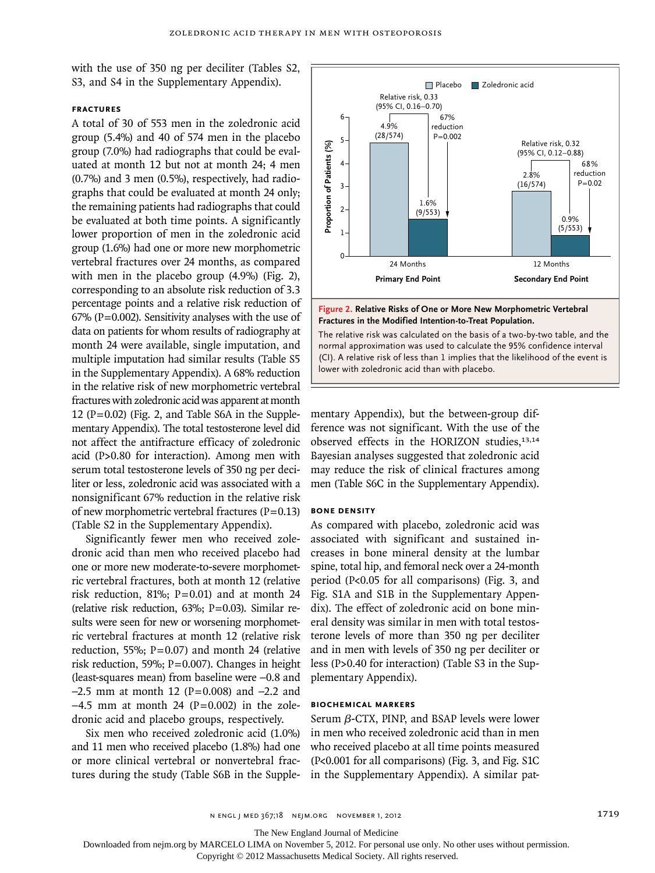with the use of 350 ng per deciliter (Tables S2, S3, and S4 in the Supplementary Appendix).

## **Fractures**

A total of 30 of 553 men in the zoledronic acid group (5.4%) and 40 of 574 men in the placebo group (7.0%) had radiographs that could be evaluated at month 12 but not at month 24; 4 men (0.7%) and 3 men (0.5%), respectively, had radiographs that could be evaluated at month 24 only; the remaining patients had radiographs that could be evaluated at both time points. A significantly lower proportion of men in the zoledronic acid group (1.6%) had one or more new morphometric vertebral fractures over 24 months, as compared with men in the placebo group (4.9%) (Fig. 2), corresponding to an absolute risk reduction of 3.3 percentage points and a relative risk reduction of  $67\%$  (P=0.002). Sensitivity analyses with the use of data on patients for whom results of radiography at month 24 were available, single imputation, and multiple imputation had similar results (Table S5 in the Supplementary Appendix). A 68% reduction in the relative risk of new morphometric vertebral fractures with zoledronic acid was apparent at month 12 ( $P=0.02$ ) (Fig. 2, and Table S6A in the Supplementary Appendix). The total testosterone level did not affect the antifracture efficacy of zoledronic acid (P>0.80 for interaction). Among men with serum total testosterone levels of 350 ng per deciliter or less, zoledronic acid was associated with a nonsignificant 67% reduction in the relative risk of new morphometric vertebral fractures  $(P=0.13)$ (Table S2 in the Supplementary Appendix).

Significantly fewer men who received zoledronic acid than men who received placebo had one or more new moderate-to-severe morphometric vertebral fractures, both at month 12 (relative risk reduction,  $81\%$ ; P=0.01) and at month 24 (relative risk reduction, 63%; P=0.03). Similar results were seen for new or worsening morphometric vertebral fractures at month 12 (relative risk reduction, 55%;  $P=0.07$ ) and month 24 (relative risk reduction, 59%;  $P=0.007$ ). Changes in height (least-squares mean) from baseline were −0.8 and −2.5 mm at month 12 (P=0.008) and −2.2 and −4.5 mm at month 24 (P=0.002) in the zoledronic acid and placebo groups, respectively.

Six men who received zoledronic acid (1.0%) and 11 men who received placebo (1.8%) had one or more clinical vertebral or nonvertebral fractures during the study (Table S6B in the Supple-



Figure 2. Relative Risks of One or More New Morphometric Vertebral **Fractures in the Modified Intention-to-Treat Population.**

(CI). A relative risk of less than 1 implies that the likelihood of the event is<br>lawar with relading is said than with placebe The relative risk was calculated on the basis of a two-by-two table, and the normal approximation was used to calculate the 95% confidence interval Line Combon 1992 and the Computer of the Combon 1994.

> **AUTHOR, PLEASE NOTE: Figure has been redrawn and type has been reset.**

mentary Appendix), but the between-group difference was not significant. With the use of the observed effects in the HORIZON studies,<sup>13,14</sup> Bayesian analyses suggested that zoledronic acid may reduce the risk of clinical fractures among men (Table S6C in the Supplementary Appendix).

## **Bone Density**

As compared with placebo, zoledronic acid was associated with significant and sustained increases in bone mineral density at the lumbar spine, total hip, and femoral neck over a 24-month period (P<0.05 for all comparisons) (Fig. 3, and Fig. S1A and S1B in the Supplementary Appendix). The effect of zoledronic acid on bone mineral density was similar in men with total testosterone levels of more than 350 ng per deciliter and in men with levels of 350 ng per deciliter or less (P>0.40 for interaction) (Table S3 in the Supplementary Appendix).

## **Biochemical Markers**

Serum β-CTX, PINP, and BSAP levels were lower in men who received zoledronic acid than in men who received placebo at all time points measured (P<0.001 for all comparisons) (Fig. 3, and Fig. S1C

The New England Journal of Medicine

Downloaded from nejm.org by MARCELO LIMA on November 5, 2012. For personal use only. No other uses without permission.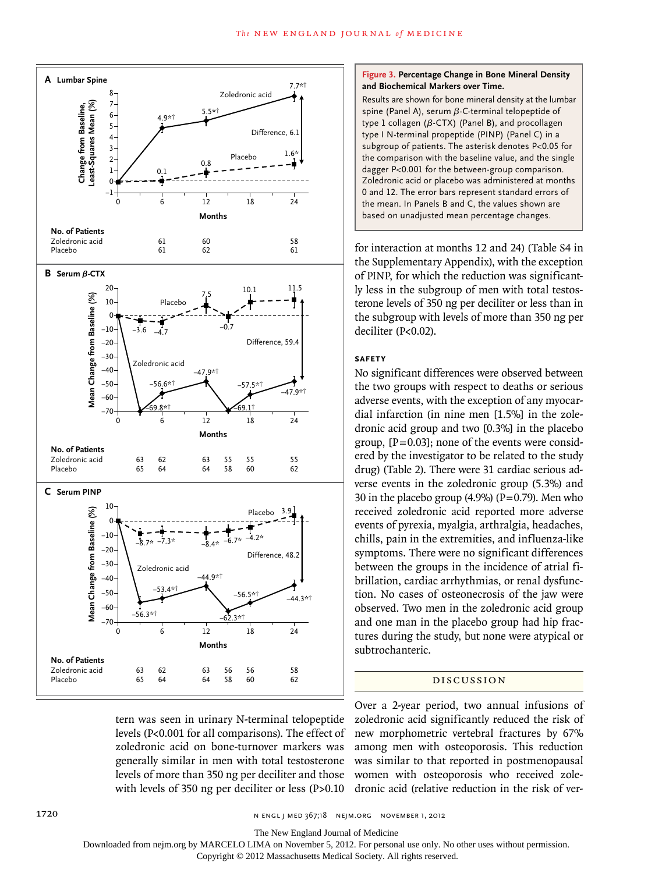

tern was seen in urinary N-terminal telopeptide levels (P<0.001 for all comparisons). The effect of zoledronic acid on bone-turnover markers was generally similar in men with total testosterone levels of more than 350 ng per deciliter and those with levels of 350 ng per deciliter or less (P>0.10)

## **Figure 3. Percentage Change in Bone Mineral Density and Biochemical Markers over Time.**

Results are shown for bone mineral density at the lumbar spine (Panel A), serum β-C-terminal telopeptide of type 1 collagen (β-CTX) (Panel B), and procollagen type I N-terminal propeptide (PINP) (Panel C) in a subgroup of patients. The asterisk denotes P<0.05 for the comparison with the baseline value, and the single dagger P<0.001 for the between-group comparison. Zoledronic acid or placebo was administered at months 0 and 12. The error bars represent standard errors of the mean. In Panels B and C, the values shown are based on unadjusted mean percentage changes.

for interaction at months 12 and 24) (Table S4 in the Supplementary Appendix), with the exception of PINP, for which the reduction was significantly less in the subgroup of men with total testosterone levels of 350 ng per deciliter or less than in the subgroup with levels of more than 350 ng per deciliter (P<0.02).

## **Safety**

No significant differences were observed between the two groups with respect to deaths or serious adverse events, with the exception of any myocardial infarction (in nine men [1.5%] in the zoledronic acid group and two [0.3%] in the placebo group,  $[P=0.03]$ ; none of the events were considered by the investigator to be related to the study drug) (Table 2). There were 31 cardiac serious adverse events in the zoledronic group (5.3%) and 30 in the placebo group  $(4.9\%)$  (P=0.79). Men who received zoledronic acid reported more adverse events of pyrexia, myalgia, arthralgia, headaches, chills, pain in the extremities, and influenza-like symptoms. There were no significant differences between the groups in the incidence of atrial fibrillation, cardiac arrhythmias, or renal dysfunction. No cases of osteonecrosis of the jaw were observed. Two men in the zoledronic acid group and one man in the placebo group had hip fractures during the study, but none were atypical or subtrochanteric.

# Discussion

Over a 2-year period, two annual infusions of zoledronic acid significantly reduced the risk of new morphometric vertebral fractures by 67% among men with osteoporosis. This reduction was similar to that reported in postmenopausal women with osteoporosis who received zoledronic acid (relative reduction in the risk of ver-

1720 **n** engl j med 367;18 Nejm.org november 1, 2012

The New England Journal of Medicine

Downloaded from nejm.org by MARCELO LIMA on November 5, 2012. For personal use only. No other uses without permission.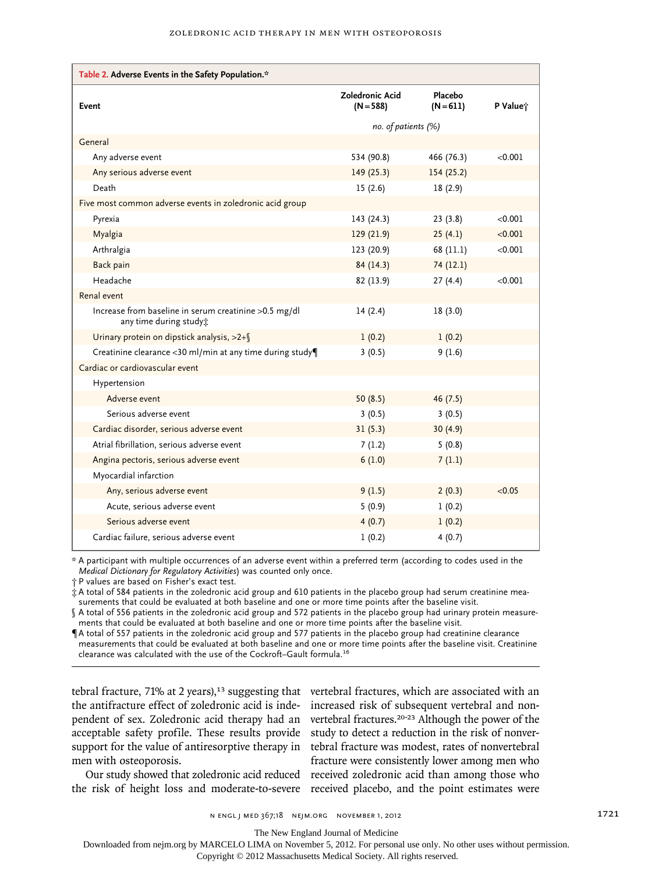| Table 2. Adverse Events in the Safety Population.*                               |                                |                        |          |  |
|----------------------------------------------------------------------------------|--------------------------------|------------------------|----------|--|
| Event                                                                            | Zoledronic Acid<br>$(N = 588)$ | Placebo<br>$(N = 611)$ | P Value; |  |
|                                                                                  | no. of patients (%)            |                        |          |  |
| General                                                                          |                                |                        |          |  |
| Any adverse event                                                                | 534 (90.8)                     | 466 (76.3)             | < 0.001  |  |
| Any serious adverse event                                                        | 149(25.3)                      | 154(25.2)              |          |  |
| Death                                                                            | 15(2.6)                        | 18(2.9)                |          |  |
| Five most common adverse events in zoledronic acid group                         |                                |                        |          |  |
| Pyrexia                                                                          | 143 (24.3)                     | 23(3.8)                | < 0.001  |  |
| Myalgia                                                                          | 129 (21.9)                     | 25(4.1)                | < 0.001  |  |
| Arthralgia                                                                       | 123 (20.9)                     | 68 (11.1)              | < 0.001  |  |
| <b>Back pain</b>                                                                 | 84 (14.3)                      | 74 (12.1)              |          |  |
| Headache                                                                         | 82 (13.9)                      | 27(4.4)                | < 0.001  |  |
| Renal event                                                                      |                                |                        |          |  |
| Increase from baseline in serum creatinine > 0.5 mg/dl<br>any time during study: | 14(2.4)                        | 18(3.0)                |          |  |
| Urinary protein on dipstick analysis, >2+§                                       | 1(0.2)                         | 1(0.2)                 |          |  |
| Creatinine clearance <30 ml/min at any time during study¶                        | 3(0.5)                         | 9(1.6)                 |          |  |
| Cardiac or cardiovascular event                                                  |                                |                        |          |  |
| Hypertension                                                                     |                                |                        |          |  |
| Adverse event                                                                    | 50(8.5)                        | 46(7.5)                |          |  |
| Serious adverse event                                                            | 3(0.5)                         | 3(0.5)                 |          |  |
| Cardiac disorder, serious adverse event                                          | 31(5.3)                        | 30(4.9)                |          |  |
| Atrial fibrillation, serious adverse event                                       | 7(1.2)                         | 5(0.8)                 |          |  |
| Angina pectoris, serious adverse event                                           | 6(1.0)                         | 7(1.1)                 |          |  |
| Myocardial infarction                                                            |                                |                        |          |  |
| Any, serious adverse event                                                       | 9(1.5)                         | 2(0.3)                 | < 0.05   |  |
| Acute, serious adverse event                                                     | 5(0.9)                         | 1(0.2)                 |          |  |
| Serious adverse event                                                            | 4(0.7)                         | 1(0.2)                 |          |  |
| Cardiac failure, serious adverse event                                           | 1(0.2)                         | 4(0.7)                 |          |  |

\* A participant with multiple occurrences of an adverse event within a preferred term (according to codes used in the *Medical Dictionary for Regulatory Activities*) was counted only once.

† P values are based on Fisher's exact test.

‡ A total of 584 patients in the zoledronic acid group and 610 patients in the placebo group had serum creatinine mea-

surements that could be evaluated at both baseline and one or more time points after the baseline visit.

§ A total of 556 patients in the zoledronic acid group and 572 patients in the placebo group had urinary protein measurements that could be evaluated at both baseline and one or more time points after the baseline visit.

¶A total of 557 patients in the zoledronic acid group and 577 patients in the placebo group had creatinine clearance measurements that could be evaluated at both baseline and one or more time points after the baseline visit. Creatinine clearance was calculated with the use of the Cockroft–Gault formula.<sup>16</sup>

tebral fracture, 71% at 2 years),<sup>13</sup> suggesting that vertebral fractures, which are associated with an the antifracture effect of zoledronic acid is inde-increased risk of subsequent vertebral and nonpendent of sex. Zoledronic acid therapy had an vertebral fractures.<sup>20-23</sup> Although the power of the acceptable safety profile. These results provide support for the value of antiresorptive therapy in men with osteoporosis.

Our study showed that zoledronic acid reduced received zoledronic acid than among those who study to detect a reduction in the risk of nonvertebral fracture was modest, rates of nonvertebral fracture were consistently lower among men who

the risk of height loss and moderate-to-severe received placebo, and the point estimates were

n engl j med 367;18 nejm.org november 1, 2012 1721

The New England Journal of Medicine

Downloaded from nejm.org by MARCELO LIMA on November 5, 2012. For personal use only. No other uses without permission.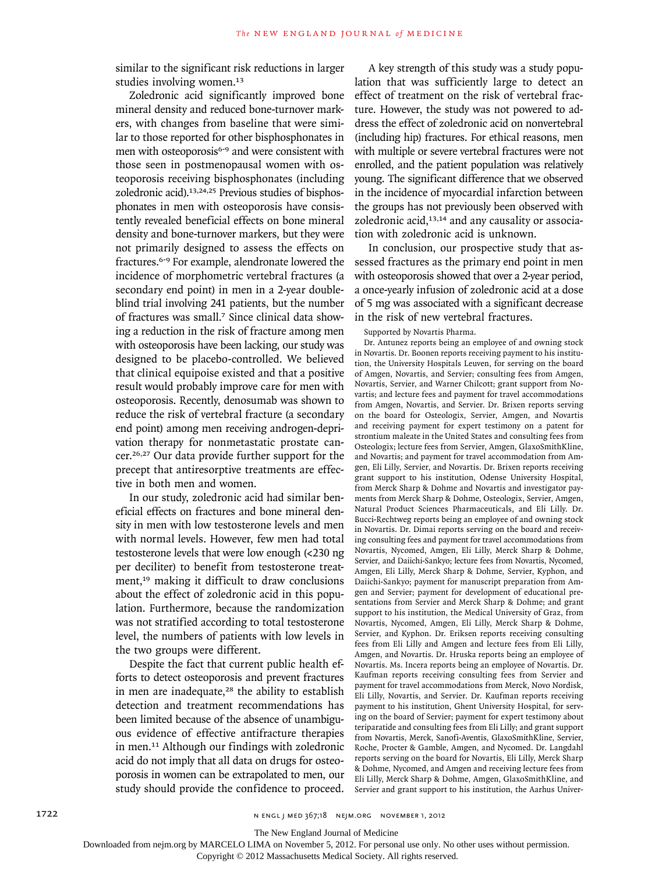similar to the significant risk reductions in larger studies involving women.<sup>13</sup>

Zoledronic acid significantly improved bone mineral density and reduced bone-turnover markers, with changes from baseline that were similar to those reported for other bisphosphonates in men with osteoporosis<sup>6-9</sup> and were consistent with those seen in postmenopausal women with osteoporosis receiving bisphosphonates (including zoledronic acid).13,24,25 Previous studies of bisphosphonates in men with osteoporosis have consistently revealed beneficial effects on bone mineral density and bone-turnover markers, but they were not primarily designed to assess the effects on fractures.6-9 For example, alendronate lowered the incidence of morphometric vertebral fractures (a secondary end point) in men in a 2-year doubleblind trial involving 241 patients, but the number of fractures was small.7 Since clinical data showing a reduction in the risk of fracture among men with osteoporosis have been lacking, our study was designed to be placebo-controlled. We believed that clinical equipoise existed and that a positive result would probably improve care for men with osteoporosis. Recently, denosumab was shown to reduce the risk of vertebral fracture (a secondary end point) among men receiving androgen-deprivation therapy for nonmetastatic prostate cancer.26,27 Our data provide further support for the precept that antiresorptive treatments are effective in both men and women.

In our study, zoledronic acid had similar beneficial effects on fractures and bone mineral density in men with low testosterone levels and men with normal levels. However, few men had total testosterone levels that were low enough (<230 ng per deciliter) to benefit from testosterone treatment,<sup>19</sup> making it difficult to draw conclusions about the effect of zoledronic acid in this population. Furthermore, because the randomization was not stratified according to total testosterone level, the numbers of patients with low levels in the two groups were different.

Despite the fact that current public health efforts to detect osteoporosis and prevent fractures in men are inadequate, $28$  the ability to establish detection and treatment recommendations has been limited because of the absence of unambiguous evidence of effective antifracture therapies in men.11 Although our findings with zoledronic acid do not imply that all data on drugs for osteoporosis in women can be extrapolated to men, our study should provide the confidence to proceed.

A key strength of this study was a study population that was sufficiently large to detect an effect of treatment on the risk of vertebral fracture. However, the study was not powered to address the effect of zoledronic acid on nonvertebral (including hip) fractures. For ethical reasons, men with multiple or severe vertebral fractures were not enrolled, and the patient population was relatively young. The significant difference that we observed in the incidence of myocardial infarction between the groups has not previously been observed with zoledronic acid,<sup>13,14</sup> and any causality or association with zoledronic acid is unknown.

In conclusion, our prospective study that assessed fractures as the primary end point in men with osteoporosis showed that over a 2-year period, a once-yearly infusion of zoledronic acid at a dose of 5 mg was associated with a significant decrease in the risk of new vertebral fractures.

Supported by Novartis Pharma.

Dr. Antunez reports being an employee of and owning stock in Novartis. Dr. Boonen reports receiving payment to his institution, the University Hospitals Leuven, for serving on the board of Amgen, Novartis, and Servier; consulting fees from Amgen, Novartis, Servier, and Warner Chilcott; grant support from Novartis; and lecture fees and payment for travel accommodations from Amgen, Novartis, and Servier. Dr. Brixen reports serving on the board for Osteologix, Servier, Amgen, and Novartis and receiving payment for expert testimony on a patent for strontium maleate in the United States and consulting fees from Osteologix; lecture fees from Servier, Amgen, GlaxoSmithKline, and Novartis; and payment for travel accommodation from Amgen, Eli Lilly, Servier, and Novartis. Dr. Brixen reports receiving grant support to his institution, Odense University Hospital, from Merck Sharp & Dohme and Novartis and investigator payments from Merck Sharp & Dohme, Osteologix, Servier, Amgen, Natural Product Sciences Pharmaceuticals, and Eli Lilly. Dr. Bucci-Rechtweg reports being an employee of and owning stock in Novartis. Dr. Dimai reports serving on the board and receiving consulting fees and payment for travel accommodations from Novartis, Nycomed, Amgen, Eli Lilly, Merck Sharp & Dohme, Servier, and Daiichi-Sankyo; lecture fees from Novartis, Nycomed, Amgen, Eli Lilly, Merck Sharp & Dohme, Servier, Kyphon, and Daiichi-Sankyo; payment for manuscript preparation from Amgen and Servier; payment for development of educational presentations from Servier and Merck Sharp & Dohme; and grant support to his institution, the Medical University of Graz, from Novartis, Nycomed, Amgen, Eli Lilly, Merck Sharp & Dohme, Servier, and Kyphon. Dr. Eriksen reports receiving consulting fees from Eli Lilly and Amgen and lecture fees from Eli Lilly, Amgen, and Novartis. Dr. Hruska reports being an employee of Novartis. Ms. Incera reports being an employee of Novartis. Dr. Kaufman reports receiving consulting fees from Servier and payment for travel accommodations from Merck, Novo Nordisk, Eli Lilly, Novartis, and Servier. Dr. Kaufman reports receiving payment to his institution, Ghent University Hospital, for serving on the board of Servier; payment for expert testimony about teriparatide and consulting fees from Eli Lilly; and grant support from Novartis, Merck, Sanofi-Aventis, GlaxoSmithKline, Servier, Roche, Procter & Gamble, Amgen, and Nycomed. Dr. Langdahl reports serving on the board for Novartis, Eli Lilly, Merck Sharp & Dohme, Nycomed, and Amgen and receiving lecture fees from Eli Lilly, Merck Sharp & Dohme, Amgen, GlaxoSmithKline, and Servier and grant support to his institution, the Aarhus Univer-

The New England Journal of Medicine

Downloaded from nejm.org by MARCELO LIMA on November 5, 2012. For personal use only. No other uses without permission.